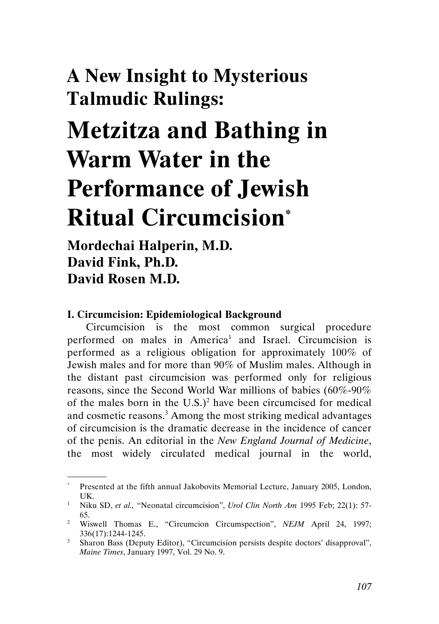## A New Insight to Mysterious Talmudic Rulings:

# Metzitza and Bathing in Warm Water in the Performance of Jewish Ritual Circumcision\*

### Mordechai Halperin, M.D. David Fink, Ph.D. David Rosen M.D.

.

#### I. Circumcision: Epidemiological Background

Circumcision is the most common surgical procedure performed on males in America<sup>1</sup> and Israel. Circumcision is performed as a religious obligation for approximately 100% of Jewish males and for more than 90% of Muslim males. Although in the distant past circumcision was performed only for religious reasons, since the Second World War millions of babies (60%-90% of the males born in the U.S.)<sup>2</sup> have been circumcised for medical and cosmetic reasons.<sup>3</sup> Among the most striking medical advantages of circumcision is the dramatic decrease in the incidence of cancer of the penis. An editorial in the New England Journal of Medicine, the most widely circulated medical journal in the world,

<sup>\*</sup> Presented at the fifth annual Jakobovits Memorial Lecture, January 2005, London, UK.

<sup>&</sup>lt;sup>1</sup> Niku SD, et al., "Neonatal circumcision", Urol Clin North Am 1995 Feb; 22(1): 57-65.

<sup>&</sup>lt;sup>2</sup> Wiswell Thomas E., "Circumcion Circumspection", *NEJM* April 24, 1997; 336(17):1244-1245.

<sup>&</sup>lt;sup>3</sup> Sharon Bass (Deputy Editor), "Circumcision persists despite doctors' disapproval", Maine Times, January 1997, Vol. 29 No. 9.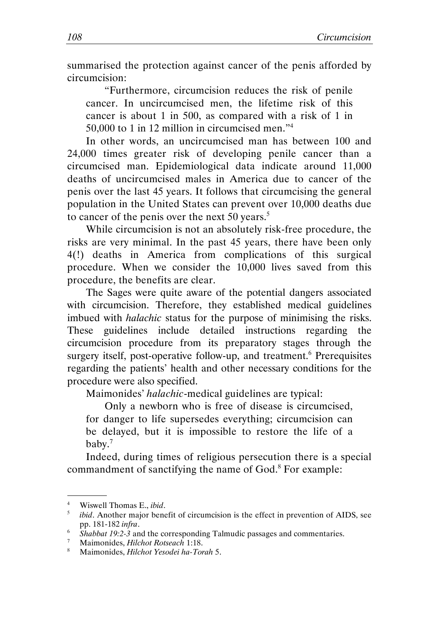summarised the protection against cancer of the penis afforded by circumcision:

"Furthermore, circumcision reduces the risk of penile cancer. In uncircumcised men, the lifetime risk of this cancer is about 1 in 500, as compared with a risk of 1 in 50,000 to 1 in 12 million in circumcised men."<sup>4</sup>

In other words, an uncircumcised man has between 100 and 24,000 times greater risk of developing penile cancer than a circumcised man. Epidemiological data indicate around 11,000 deaths of uncircumcised males in America due to cancer of the penis over the last 45 years. It follows that circumcising the general population in the United States can prevent over 10,000 deaths due to cancer of the penis over the next 50 years.<sup>5</sup>

While circumcision is not an absolutely risk-free procedure, the risks are very minimal. In the past 45 years, there have been only 4(!) deaths in America from complications of this surgical procedure. When we consider the 10,000 lives saved from this procedure, the benefits are clear.

The Sages were quite aware of the potential dangers associated with circumcision. Therefore, they established medical guidelines imbued with halachic status for the purpose of minimising the risks. These guidelines include detailed instructions regarding the circumcision procedure from its preparatory stages through the surgery itself, post-operative follow-up, and treatment.<sup>6</sup> Prerequisites regarding the patients' health and other necessary conditions for the procedure were also specified.

Maimonides' halachic-medical guidelines are typical:

Only a newborn who is free of disease is circumcised, for danger to life supersedes everything; circumcision can be delayed, but it is impossible to restore the life of a baby.<sup>7</sup>

Indeed, during times of religious persecution there is a special commandment of sanctifying the name of God.<sup>8</sup> For example:

 <sup>.</sup> 4 Wiswell Thomas E., ibid.

<sup>5</sup> ibid. Another major benefit of circumcision is the effect in prevention of AIDS, see pp. 181-182 infra.

pp.  $181-182 \text{ m}$  m.<br><sup>6</sup> Shabbat 19:2-3 and the corresponding Talmudic passages and commentaries.

<sup>&</sup>lt;sup>7</sup> Maimonides, *Hilchot Rotseach* 1:18.

<sup>&</sup>lt;sup>8</sup> Maimonides, Hilchot Yesodei ha-Torah 5.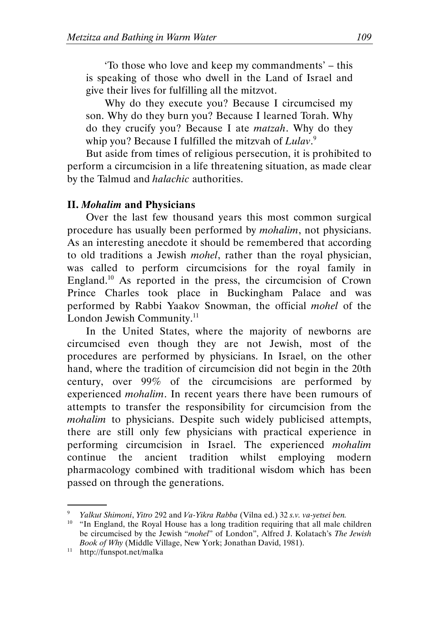'To those who love and keep my commandments' – this is speaking of those who dwell in the Land of Israel and give their lives for fulfilling all the mitzvot.

Why do they execute you? Because I circumcised my son. Why do they burn you? Because I learned Torah. Why do they crucify you? Because I ate matzah. Why do they whip you? Because I fulfilled the mitzvah of Lulav.<sup>9</sup>

But aside from times of religious persecution, it is prohibited to perform a circumcision in a life threatening situation, as made clear by the Talmud and halachic authorities.

#### II. Mohalim and Physicians

Over the last few thousand years this most common surgical procedure has usually been performed by mohalim, not physicians. As an interesting anecdote it should be remembered that according to old traditions a Jewish mohel, rather than the royal physician, was called to perform circumcisions for the royal family in England.<sup>10</sup> As reported in the press, the circumcision of Crown Prince Charles took place in Buckingham Palace and was performed by Rabbi Yaakov Snowman, the official mohel of the London Jewish Community.<sup>11</sup>

In the United States, where the majority of newborns are circumcised even though they are not Jewish, most of the procedures are performed by physicians. In Israel, on the other hand, where the tradition of circumcision did not begin in the 20th century, over 99% of the circumcisions are performed by experienced mohalim. In recent years there have been rumours of attempts to transfer the responsibility for circumcision from the mohalim to physicians. Despite such widely publicised attempts, there are still only few physicians with practical experience in performing circumcision in Israel. The experienced mohalim continue the ancient tradition whilst employing modern pharmacology combined with traditional wisdom which has been passed on through the generations.

Yalkut Shimoni, Yitro 292 and Va-Yikra Rabba (Vilna ed.) 32 s.v. va-yetsei ben.

<sup>&</sup>lt;sup>10</sup> "In England, the Royal House has a long tradition requiring that all male children be circumcised by the Jewish "mohel" of London", Alfred J. Kolatach's The Jewish Book of Why (Middle Village, New York; Jonathan David, 1981).

<sup>11</sup> http://funspot.net/malka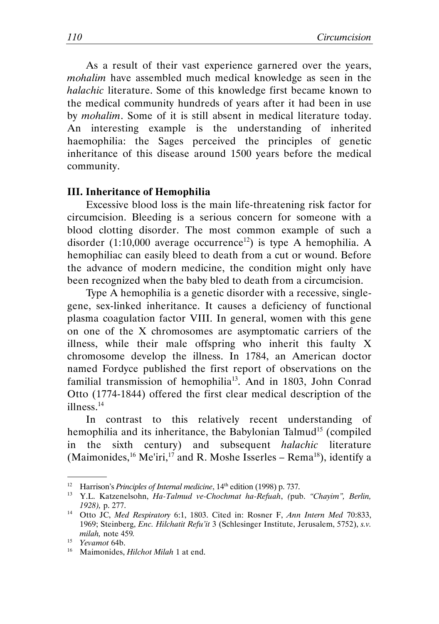As a result of their vast experience garnered over the years, mohalim have assembled much medical knowledge as seen in the halachic literature. Some of this knowledge first became known to the medical community hundreds of years after it had been in use by mohalim. Some of it is still absent in medical literature today. An interesting example is the understanding of inherited haemophilia: the Sages perceived the principles of genetic inheritance of this disease around 1500 years before the medical community.

#### III. Inheritance of Hemophilia

Excessive blood loss is the main life-threatening risk factor for circumcision. Bleeding is a serious concern for someone with a blood clotting disorder. The most common example of such a disorder (1:10,000 average occurrence<sup>12</sup>) is type A hemophilia. A hemophiliac can easily bleed to death from a cut or wound. Before the advance of modern medicine, the condition might only have been recognized when the baby bled to death from a circumcision.

Type A hemophilia is a genetic disorder with a recessive, singlegene, sex-linked inheritance. It causes a deficiency of functional plasma coagulation factor VIII. In general, women with this gene on one of the X chromosomes are asymptomatic carriers of the illness, while their male offspring who inherit this faulty X chromosome develop the illness. In 1784, an American doctor named Fordyce published the first report of observations on the familial transmission of hemophilia<sup>13</sup>. And in 1803, John Conrad Otto (1774-1844) offered the first clear medical description of the illness.<sup>14</sup>

In contrast to this relatively recent understanding of hemophilia and its inheritance, the Babylonian Talmud<sup>15</sup> (compiled in the sixth century) and subsequent halachic literature (Maimonides, <sup>16</sup> Me'iri,<sup>17</sup> and R. Moshe Isserles – Rema<sup>18</sup>), identify a

<sup>&</sup>lt;sup>12</sup> Harrison's *Principles of Internal medicine*,  $14<sup>th</sup>$  edition (1998) p. 737.

<sup>&</sup>lt;sup>13</sup> Y.L. Katzenelsohn, Ha-Talmud ve-Chochmat ha-Refuah, (pub. "Chayim", Berlin, 1928), p. 277.

<sup>&</sup>lt;sup>14</sup> Otto JC, Med Respiratory 6:1, 1803. Cited in: Rosner F, Ann Intern Med 70:833, 1969; Steinberg, Enc. Hilchatit Refu'it 3 (Schlesinger Institute, Jerusalem, 5752), s.v. milah, note 459.

<sup>15</sup> Yevamot 64b.

<sup>&</sup>lt;sup>16</sup> Maimonides, *Hilchot Milah* 1 at end.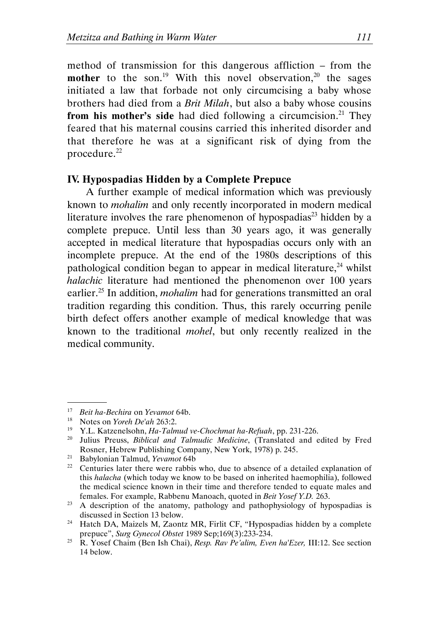method of transmission for this dangerous affliction – from the **mother** to the son.<sup>19</sup> With this novel observation,<sup>20</sup> the sages initiated a law that forbade not only circumcising a baby whose brothers had died from a Brit Milah, but also a baby whose cousins from his mother's side had died following a circumcision.<sup>21</sup> They feared that his maternal cousins carried this inherited disorder and that therefore he was at a significant risk of dying from the procedure.<sup>22</sup>

#### IV. Hypospadias Hidden by a Complete Prepuce

A further example of medical information which was previously known to mohalim and only recently incorporated in modern medical literature involves the rare phenomenon of hypospadias<sup>23</sup> hidden by a complete prepuce. Until less than 30 years ago, it was generally accepted in medical literature that hypospadias occurs only with an incomplete prepuce. At the end of the 1980s descriptions of this pathological condition began to appear in medical literature, $^{24}$  whilst halachic literature had mentioned the phenomenon over 100 years earlier.<sup>25</sup> In addition, *mohalim* had for generations transmitted an oral tradition regarding this condition. Thus, this rarely occurring penile birth defect offers another example of medical knowledge that was known to the traditional mohel, but only recently realized in the medical community.

 <sup>.</sup> <sup>17</sup> Beit ha-Bechira on Yevamot 64b.<br><sup>18</sup> Notes on *Yoreh De*'ah 263:2

<sup>&</sup>lt;sup>18</sup> Notes on *Yoreh De'ah* 263:2.<br><sup>19</sup> Y L Katzenelsohn *Ho-Talm* 

<sup>19</sup> Y.L. Katzenelsohn, Ha-Talmud ve-Chochmat ha-Refuah, pp. 231-226.

<sup>&</sup>lt;sup>20</sup> Julius Preuss, Biblical and Talmudic Medicine, (Translated and edited by Fred Rosner, Hebrew Publishing Company, New York, 1978) p. 245.

<sup>21</sup> Babylonian Talmud, Yevamot 64b

<sup>&</sup>lt;sup>22</sup> Centuries later there were rabbis who, due to absence of a detailed explanation of this halacha (which today we know to be based on inherited haemophilia), followed the medical science known in their time and therefore tended to equate males and females. For example, Rabbenu Manoach, quoted in Beit Yosef Y.D. 263.

<sup>&</sup>lt;sup>23</sup> A description of the anatomy, pathology and pathophysiology of hypospadias is discussed in Section 13 below.

<sup>&</sup>lt;sup>24</sup> Hatch DA, Maizels M, Zaontz MR, Firlit CF, "Hypospadias hidden by a complete prepuce", Surg Gynecol Obstet 1989 Sep;169(3):233-234.

<sup>&</sup>lt;sup>25</sup> R. Yosef Chaim (Ben Ish Chai), Resp. Rav Pe'alim, Even ha'Ezer, III:12. See section 14 below.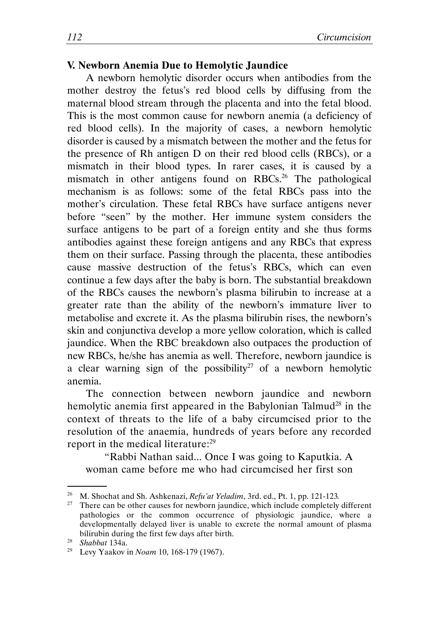#### V. Newborn Anemia Due to Hemolytic Jaundice

A newborn hemolytic disorder occurs when antibodies from the mother destroy the fetus's red blood cells by diffusing from the maternal blood stream through the placenta and into the fetal blood. This is the most common cause for newborn anemia (a deficiency of red blood cells). In the majority of cases, a newborn hemolytic disorder is caused by a mismatch between the mother and the fetus for the presence of Rh antigen D on their red blood cells (RBCs), or a mismatch in their blood types. In rarer cases, it is caused by a mismatch in other antigens found on RBCs.<sup>26</sup> The pathological mechanism is as follows: some of the fetal RBCs pass into the mother's circulation. These fetal RBCs have surface antigens never before "seen" by the mother. Her immune system considers the surface antigens to be part of a foreign entity and she thus forms antibodies against these foreign antigens and any RBCs that express them on their surface. Passing through the placenta, these antibodies cause massive destruction of the fetus's RBCs, which can even continue a few days after the baby is born. The substantial breakdown of the RBCs causes the newborn's plasma bilirubin to increase at a greater rate than the ability of the newborn's immature liver to metabolise and excrete it. As the plasma bilirubin rises, the newborn's skin and conjunctiva develop a more yellow coloration, which is called jaundice. When the RBC breakdown also outpaces the production of new RBCs, he/she has anemia as well. Therefore, newborn jaundice is a clear warning sign of the possibility<sup>27</sup> of a newborn hemolytic anemia.

The connection between newborn jaundice and newborn hemolytic anemia first appeared in the Babylonian Talmud<sup>28</sup> in the context of threats to the life of a baby circumcised prior to the resolution of the anaemia, hundreds of years before any recorded report in the medical literature:<sup>29</sup>

"Rabbi Nathan said... Once I was going to Kaputkia. A woman came before me who had circumcised her first son

<sup>&</sup>lt;sup>26</sup> M. Shochat and Sh. Ashkenazi, Refu'at Yeladim, 3rd. ed., Pt. 1, pp. 121-123.

 $27$  There can be other causes for newborn jaundice, which include completely different pathologies or the common occurrence of physiologic jaundice, where a developmentally delayed liver is unable to excrete the normal amount of plasma bilirubin during the first few days after birth.

<sup>28</sup> Shabbat 134a.

<sup>&</sup>lt;sup>29</sup> Levy Yaakov in *Noam* 10, 168-179 (1967).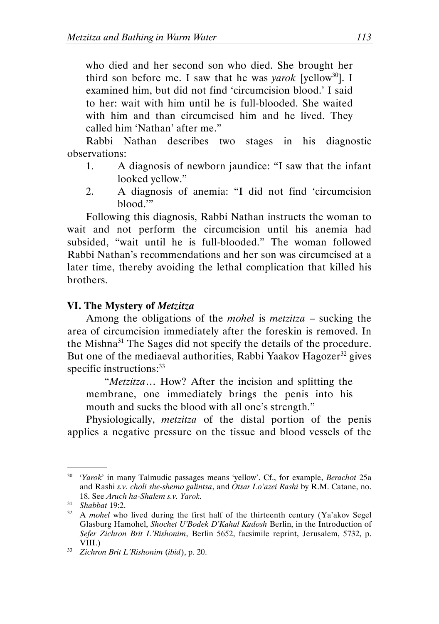who died and her second son who died. She brought her third son before me. I saw that he was *varok* [yellow<sup>30</sup>]. I examined him, but did not find 'circumcision blood.' I said to her: wait with him until he is full-blooded. She waited with him and than circumcised him and he lived. They called him 'Nathan' after me."

Rabbi Nathan describes two stages in his diagnostic observations:

- 1. A diagnosis of newborn jaundice: "I saw that the infant looked yellow."
- 2. A diagnosis of anemia: "I did not find 'circumcision blood.'"

Following this diagnosis, Rabbi Nathan instructs the woman to wait and not perform the circumcision until his anemia had subsided, "wait until he is full-blooded." The woman followed Rabbi Nathan's recommendations and her son was circumcised at a later time, thereby avoiding the lethal complication that killed his brothers.

#### VI. The Mystery of Metzitza

Among the obligations of the *mohel* is *metzitza* – sucking the area of circumcision immediately after the foreskin is removed. In the Mishna<sup>31</sup> The Sages did not specify the details of the procedure. But one of the mediaeval authorities, Rabbi Yaakov Hagozer<sup>32</sup> gives specific instructions:<sup>33</sup>

"Metzitza… How? After the incision and splitting the membrane, one immediately brings the penis into his mouth and sucks the blood with all one's strength."

Physiologically, metzitza of the distal portion of the penis applies a negative pressure on the tissue and blood vessels of the

 <sup>.</sup>  $30$  'Yarok' in many Talmudic passages means 'yellow'. Cf., for example, *Berachot* 25a and Rashi s.v. choli she-shemo galintsa, and Otsar Lo'azei Rashi by R.M. Catane, no. 18. See Aruch ha-Shalem s.v. Yarok.

 $31$  Shabbat 19:2.

 $32$  A mohel who lived during the first half of the thirteenth century (Ya'akov Segel Glasburg Hamohel, Shochet U'Bodek D'Kahal Kadosh Berlin, in the Introduction of Sefer Zichron Brit L'Rishonim, Berlin 5652, facsimile reprint, Jerusalem, 5732, p. VIII.)

<sup>33</sup> Zichron Brit L'Rishonim (ibid), p. 20.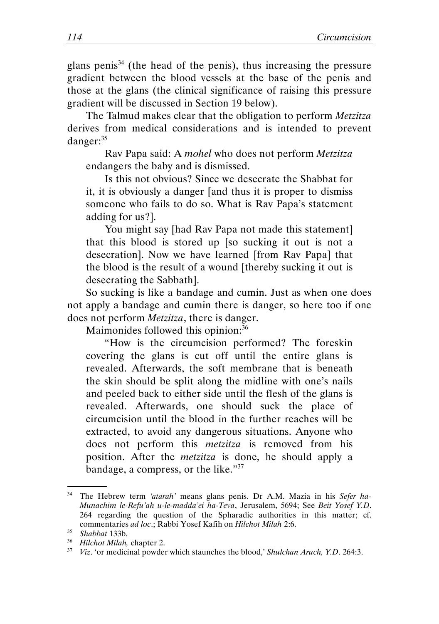glans penis<sup>34</sup> (the head of the penis), thus increasing the pressure gradient between the blood vessels at the base of the penis and those at the glans (the clinical significance of raising this pressure gradient will be discussed in Section 19 below).

The Talmud makes clear that the obligation to perform Metzitza derives from medical considerations and is intended to prevent danger:<sup>35</sup>

Rav Papa said: A mohel who does not perform Metzitza endangers the baby and is dismissed.

Is this not obvious? Since we desecrate the Shabbat for it, it is obviously a danger [and thus it is proper to dismiss someone who fails to do so. What is Rav Papa's statement adding for us?].

You might say [had Rav Papa not made this statement] that this blood is stored up [so sucking it out is not a desecration]. Now we have learned [from Rav Papa] that the blood is the result of a wound [thereby sucking it out is desecrating the Sabbath].

So sucking is like a bandage and cumin. Just as when one does not apply a bandage and cumin there is danger, so here too if one does not perform *Metzitza*, there is danger.

Maimonides followed this opinion:<sup>36</sup>

"How is the circumcision performed? The foreskin covering the glans is cut off until the entire glans is revealed. Afterwards, the soft membrane that is beneath the skin should be split along the midline with one's nails and peeled back to either side until the flesh of the glans is revealed. Afterwards, one should suck the place of circumcision until the blood in the further reaches will be extracted, to avoid any dangerous situations. Anyone who does not perform this metzitza is removed from his position. After the metzitza is done, he should apply a bandage, a compress, or the like."<sup>37</sup>

<sup>&</sup>lt;sup>34</sup> The Hebrew term 'atarah' means glans penis. Dr A.M. Mazia in his Sefer ha-Munachim le-Refu'ah u-le-madda'ei ha-Teva, Jerusalem, 5694; See Beit Yosef Y.D. 264 regarding the question of the Spharadic authorities in this matter; cf. commentaries ad loc.; Rabbi Yosef Kafih on Hilchot Milah 2:6.

<sup>35</sup> Shabbat 133b.

<sup>&</sup>lt;sup>36</sup> Hilchot Milah, chapter 2.

 $37$  Viz. 'or medicinal powder which staunches the blood,' Shulchan Aruch, Y.D. 264:3.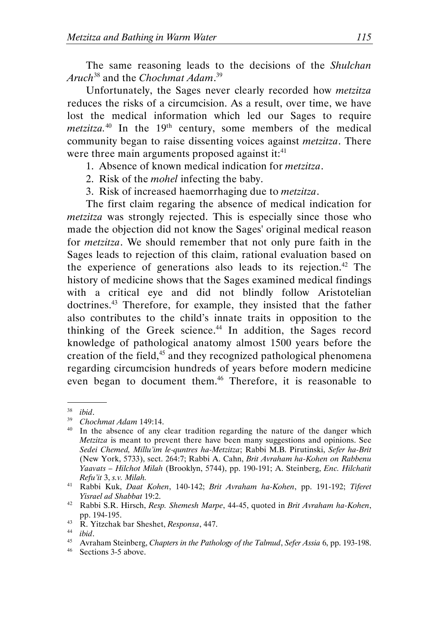The same reasoning leads to the decisions of the Shulchan Aruch<sup>38</sup> and the Chochmat Adam.<sup>39</sup>

Unfortunately, the Sages never clearly recorded how metzitza reduces the risks of a circumcision. As a result, over time, we have lost the medical information which led our Sages to require *metzitza.*<sup>40</sup> In the  $19<sup>th</sup>$  century, some members of the medical community began to raise dissenting voices against metzitza. There were three main arguments proposed against it: $41$ 

- 1. Absence of known medical indication for metzitza.
- 2. Risk of the mohel infecting the baby.
- 3. Risk of increased haemorrhaging due to metzitza.

The first claim regaring the absence of medical indication for metzitza was strongly rejected. This is especially since those who made the objection did not know the Sages' original medical reason for *metzitza*. We should remember that not only pure faith in the Sages leads to rejection of this claim, rational evaluation based on the experience of generations also leads to its rejection.<sup>42</sup> The history of medicine shows that the Sages examined medical findings with a critical eye and did not blindly follow Aristotelian doctrines.<sup>43</sup> Therefore, for example, they insisted that the father also contributes to the child's innate traits in opposition to the thinking of the Greek science.<sup>44</sup> In addition, the Sages record knowledge of pathological anatomy almost 1500 years before the creation of the field, $45$  and they recognized pathological phenomena regarding circumcision hundreds of years before modern medicine even began to document them.<sup>46</sup> Therefore, it is reasonable to

 <sup>.</sup>  $38$  ibid.

<sup>39</sup> Chochmat Adam 149:14.

<sup>&</sup>lt;sup>40</sup> In the absence of any clear tradition regarding the nature of the danger which Metzitza is meant to prevent there have been many suggestions and opinions. See Sedei Chemed, Millu'im le-quntres ha-Metzitza; Rabbi M.B. Pirutinski, Sefer ha-Brit (New York, 5733), sect. 264:7; Rabbi A. Cahn, Brit Avraham ha-Kohen on Rabbenu Yaavats – Hilchot Milah (Brooklyn, 5744), pp. 190-191; A. Steinberg, Enc. Hilchatit Refu'it 3, s.v. Milah.

<sup>41</sup> Rabbi Kuk, Daat Kohen, 140-142; Brit Avraham ha-Kohen, pp. 191-192; Tiferet Yisrael ad Shabbat 19:2.

<sup>&</sup>lt;sup>42</sup> Rabbi S.R. Hirsch, Resp. Shemesh Marpe, 44-45, quoted in Brit Avraham ha-Kohen, pp. 194-195.

 $43$  R. Yitzchak bar Sheshet, Responsa, 447.

 $44$  ibid.

<sup>&</sup>lt;sup>45</sup> Avraham Steinberg, Chapters in the Pathology of the Talmud, Sefer Assia 6, pp. 193-198.

<sup>46</sup> Sections 3-5 above.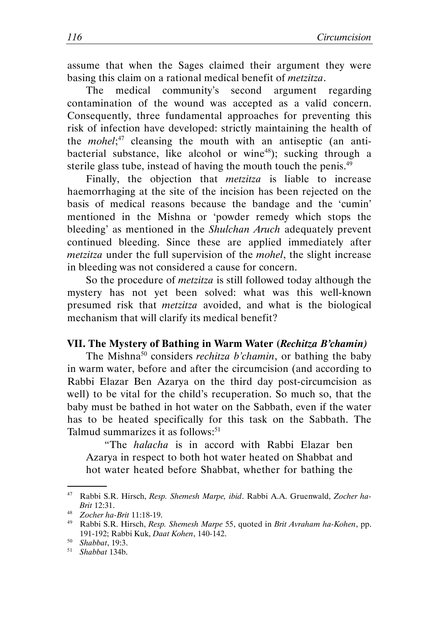assume that when the Sages claimed their argument they were basing this claim on a rational medical benefit of metzitza.

The medical community's second argument regarding contamination of the wound was accepted as a valid concern. Consequently, three fundamental approaches for preventing this risk of infection have developed: strictly maintaining the health of the *mohel*;<sup>47</sup> cleansing the mouth with an antiseptic (an antibacterial substance, like alcohol or wine<sup>48</sup>); sucking through a sterile glass tube, instead of having the mouth touch the penis.<sup>49</sup>

Finally, the objection that metzitza is liable to increase haemorrhaging at the site of the incision has been rejected on the basis of medical reasons because the bandage and the 'cumin' mentioned in the Mishna or 'powder remedy which stops the bleeding' as mentioned in the *Shulchan Aruch* adequately prevent continued bleeding. Since these are applied immediately after metzitza under the full supervision of the mohel, the slight increase in bleeding was not considered a cause for concern.

So the procedure of metzitza is still followed today although the mystery has not yet been solved: what was this well-known presumed risk that metzitza avoided, and what is the biological mechanism that will clarify its medical benefit?

#### VII. The Mystery of Bathing in Warm Water (Rechitza B'chamin)

The Mishna<sup>50</sup> considers *rechitza b'chamin*, or bathing the baby in warm water, before and after the circumcision (and according to Rabbi Elazar Ben Azarya on the third day post-circumcision as well) to be vital for the child's recuperation. So much so, that the baby must be bathed in hot water on the Sabbath, even if the water has to be heated specifically for this task on the Sabbath. The Talmud summarizes it as follows:<sup>51</sup>

"The halacha is in accord with Rabbi Elazar ben Azarya in respect to both hot water heated on Shabbat and hot water heated before Shabbat, whether for bathing the

<sup>&</sup>lt;sup>47</sup> Rabbi S.R. Hirsch, Resp. Shemesh Marpe, ibid. Rabbi A.A. Gruenwald, Zocher ha-Brit 12:31.

<sup>48</sup> Zocher ha-Brit 11:18-19.

<sup>&</sup>lt;sup>49</sup> Rabbi S.R. Hirsch, Resp. Shemesh Marpe 55, quoted in Brit Avraham ha-Kohen, pp. 191-192; Rabbi Kuk, Daat Kohen, 140-142.

<sup>50</sup> Shabbat, 19:3.

 $51$  Shabbat 134b.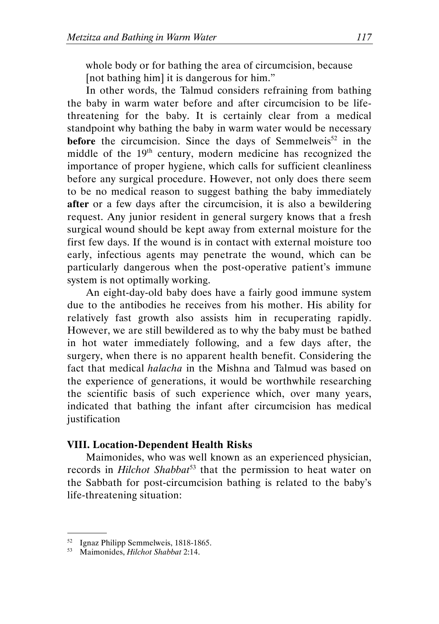whole body or for bathing the area of circumcision, because [not bathing him] it is dangerous for him."

In other words, the Talmud considers refraining from bathing the baby in warm water before and after circumcision to be lifethreatening for the baby. It is certainly clear from a medical standpoint why bathing the baby in warm water would be necessary before the circumcision. Since the days of Semmelweis<sup>52</sup> in the middle of the 19th century, modern medicine has recognized the importance of proper hygiene, which calls for sufficient cleanliness before any surgical procedure. However, not only does there seem to be no medical reason to suggest bathing the baby immediately after or a few days after the circumcision, it is also a bewildering request. Any junior resident in general surgery knows that a fresh surgical wound should be kept away from external moisture for the first few days. If the wound is in contact with external moisture too early, infectious agents may penetrate the wound, which can be particularly dangerous when the post-operative patient's immune system is not optimally working.

An eight-day-old baby does have a fairly good immune system due to the antibodies he receives from his mother. His ability for relatively fast growth also assists him in recuperating rapidly. However, we are still bewildered as to why the baby must be bathed in hot water immediately following, and a few days after, the surgery, when there is no apparent health benefit. Considering the fact that medical halacha in the Mishna and Talmud was based on the experience of generations, it would be worthwhile researching the scientific basis of such experience which, over many years, indicated that bathing the infant after circumcision has medical justification

#### VIII. Location-Dependent Health Risks

Maimonides, who was well known as an experienced physician, records in *Hilchot Shabbat*<sup>53</sup> that the permission to heat water on the Sabbath for post-circumcision bathing is related to the baby's life-threatening situation:

<sup>52</sup> Ignaz Philipp Semmelweis, 1818-1865.

<sup>&</sup>lt;sup>53</sup> Maimonides, *Hilchot Shabbat* 2:14.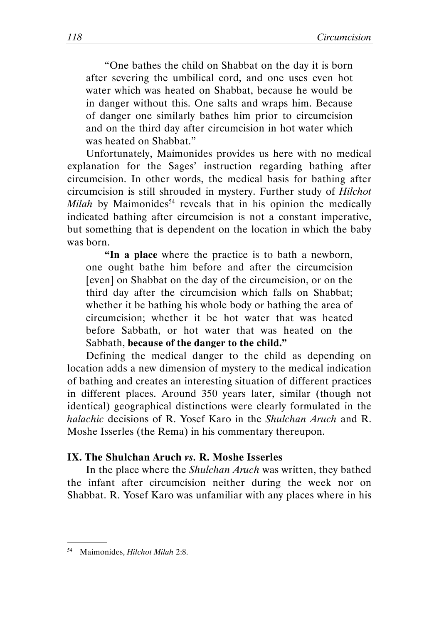"One bathes the child on Shabbat on the day it is born after severing the umbilical cord, and one uses even hot water which was heated on Shabbat, because he would be in danger without this. One salts and wraps him. Because of danger one similarly bathes him prior to circumcision and on the third day after circumcision in hot water which was heated on Shabbat."

Unfortunately, Maimonides provides us here with no medical explanation for the Sages' instruction regarding bathing after circumcision. In other words, the medical basis for bathing after circumcision is still shrouded in mystery. Further study of Hilchot Milah by Maimonides<sup>54</sup> reveals that in his opinion the medically indicated bathing after circumcision is not a constant imperative, but something that is dependent on the location in which the baby was born.

"In a place where the practice is to bath a newborn, one ought bathe him before and after the circumcision [even] on Shabbat on the day of the circumcision, or on the third day after the circumcision which falls on Shabbat; whether it be bathing his whole body or bathing the area of circumcision; whether it be hot water that was heated before Sabbath, or hot water that was heated on the Sabbath, because of the danger to the child."

Defining the medical danger to the child as depending on location adds a new dimension of mystery to the medical indication of bathing and creates an interesting situation of different practices in different places. Around 350 years later, similar (though not identical) geographical distinctions were clearly formulated in the halachic decisions of R. Yosef Karo in the Shulchan Aruch and R. Moshe Isserles (the Rema) in his commentary thereupon.

#### IX. The Shulchan Aruch vs. R. Moshe Isserles

In the place where the *Shulchan Aruch* was written, they bathed the infant after circumcision neither during the week nor on Shabbat. R. Yosef Karo was unfamiliar with any places where in his

<sup>54</sup> Maimonides, Hilchot Milah 2:8.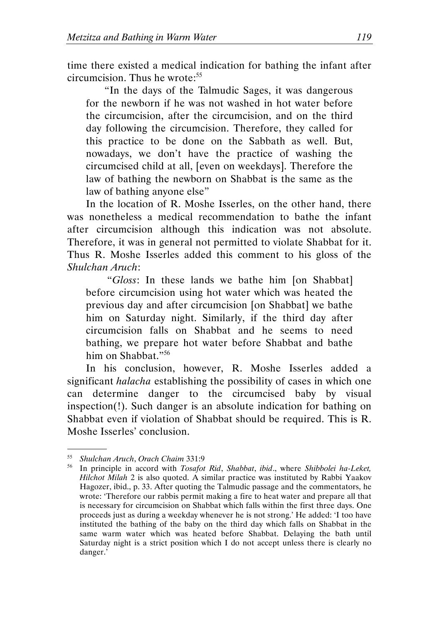time there existed a medical indication for bathing the infant after circumcision. Thus he wrote:<sup>55</sup>

"In the days of the Talmudic Sages, it was dangerous for the newborn if he was not washed in hot water before the circumcision, after the circumcision, and on the third day following the circumcision. Therefore, they called for this practice to be done on the Sabbath as well. But, nowadays, we don't have the practice of washing the circumcised child at all, [even on weekdays]. Therefore the law of bathing the newborn on Shabbat is the same as the law of bathing anyone else"

In the location of R. Moshe Isserles, on the other hand, there was nonetheless a medical recommendation to bathe the infant after circumcision although this indication was not absolute. Therefore, it was in general not permitted to violate Shabbat for it. Thus R. Moshe Isserles added this comment to his gloss of the Shulchan Aruch:

 "Gloss: In these lands we bathe him [on Shabbat] before circumcision using hot water which was heated the previous day and after circumcision [on Shabbat] we bathe him on Saturday night. Similarly, if the third day after circumcision falls on Shabbat and he seems to need bathing, we prepare hot water before Shabbat and bathe him on Shabbat."<sup>56</sup>

In his conclusion, however, R. Moshe Isserles added a significant *halacha* establishing the possibility of cases in which one can determine danger to the circumcised baby by visual inspection(!). Such danger is an absolute indication for bathing on Shabbat even if violation of Shabbat should be required. This is R. Moshe Isserles' conclusion.

 <sup>.</sup> <sup>55</sup> Shulchan Aruch, Orach Chaim 331:9

<sup>&</sup>lt;sup>56</sup> In principle in accord with Tosafot Rid, Shabbat, ibid., where Shibbolei ha-Leket, Hilchot Milah 2 is also quoted. A similar practice was instituted by Rabbi Yaakov Hagozer, ibid., p. 33. After quoting the Talmudic passage and the commentators, he wrote: 'Therefore our rabbis permit making a fire to heat water and prepare all that is necessary for circumcision on Shabbat which falls within the first three days. One proceeds just as during a weekday whenever he is not strong.' He added: 'I too have instituted the bathing of the baby on the third day which falls on Shabbat in the same warm water which was heated before Shabbat. Delaying the bath until Saturday night is a strict position which I do not accept unless there is clearly no danger.'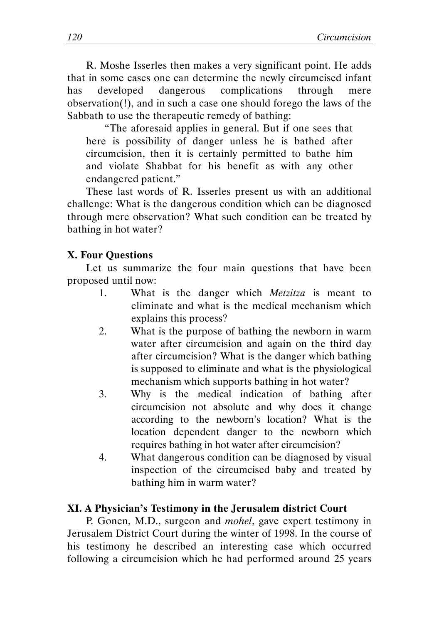R. Moshe Isserles then makes a very significant point. He adds that in some cases one can determine the newly circumcised infant has developed dangerous complications through mere observation(!), and in such a case one should forego the laws of the Sabbath to use the therapeutic remedy of bathing:

"The aforesaid applies in general. But if one sees that here is possibility of danger unless he is bathed after circumcision, then it is certainly permitted to bathe him and violate Shabbat for his benefit as with any other endangered patient."

These last words of R. Isserles present us with an additional challenge: What is the dangerous condition which can be diagnosed through mere observation? What such condition can be treated by bathing in hot water?

#### X. Four Questions

Let us summarize the four main questions that have been proposed until now:

- 1. What is the danger which Metzitza is meant to eliminate and what is the medical mechanism which explains this process?
- 2. What is the purpose of bathing the newborn in warm water after circumcision and again on the third day after circumcision? What is the danger which bathing is supposed to eliminate and what is the physiological mechanism which supports bathing in hot water?
- 3. Why is the medical indication of bathing after circumcision not absolute and why does it change according to the newborn's location? What is the location dependent danger to the newborn which requires bathing in hot water after circumcision?
- 4. What dangerous condition can be diagnosed by visual inspection of the circumcised baby and treated by bathing him in warm water?

#### XI. A Physician's Testimony in the Jerusalem district Court

P. Gonen, M.D., surgeon and mohel, gave expert testimony in Jerusalem District Court during the winter of 1998. In the course of his testimony he described an interesting case which occurred following a circumcision which he had performed around 25 years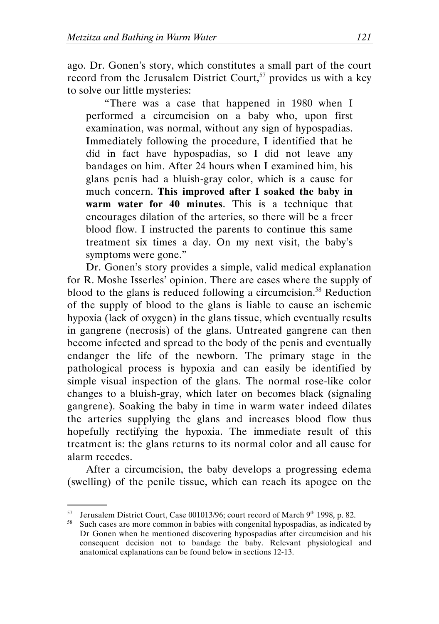ago. Dr. Gonen's story, which constitutes a small part of the court record from the Jerusalem District Court,<sup>57</sup> provides us with a key to solve our little mysteries:

"There was a case that happened in 1980 when I performed a circumcision on a baby who, upon first examination, was normal, without any sign of hypospadias. Immediately following the procedure, I identified that he did in fact have hypospadias, so I did not leave any bandages on him. After 24 hours when I examined him, his glans penis had a bluish-gray color, which is a cause for much concern. This improved after I soaked the baby in warm water for 40 minutes. This is a technique that encourages dilation of the arteries, so there will be a freer blood flow. I instructed the parents to continue this same treatment six times a day. On my next visit, the baby's symptoms were gone."

Dr. Gonen's story provides a simple, valid medical explanation for R. Moshe Isserles' opinion. There are cases where the supply of blood to the glans is reduced following a circumcision.<sup>58</sup> Reduction of the supply of blood to the glans is liable to cause an ischemic hypoxia (lack of oxygen) in the glans tissue, which eventually results in gangrene (necrosis) of the glans. Untreated gangrene can then become infected and spread to the body of the penis and eventually endanger the life of the newborn. The primary stage in the pathological process is hypoxia and can easily be identified by simple visual inspection of the glans. The normal rose-like color changes to a bluish-gray, which later on becomes black (signaling gangrene). Soaking the baby in time in warm water indeed dilates the arteries supplying the glans and increases blood flow thus hopefully rectifying the hypoxia. The immediate result of this treatment is: the glans returns to its normal color and all cause for alarm recedes.

After a circumcision, the baby develops a progressing edema (swelling) of the penile tissue, which can reach its apogee on the

<sup>&</sup>lt;sup>57</sup> Jerusalem District Court, Case 001013/96; court record of March 9<sup>th</sup> 1998, p. 82.

<sup>&</sup>lt;sup>58</sup> Such cases are more common in babies with congenital hypospadias, as indicated by Dr Gonen when he mentioned discovering hypospadias after circumcision and his consequent decision not to bandage the baby. Relevant physiological and anatomical explanations can be found below in sections 12-13.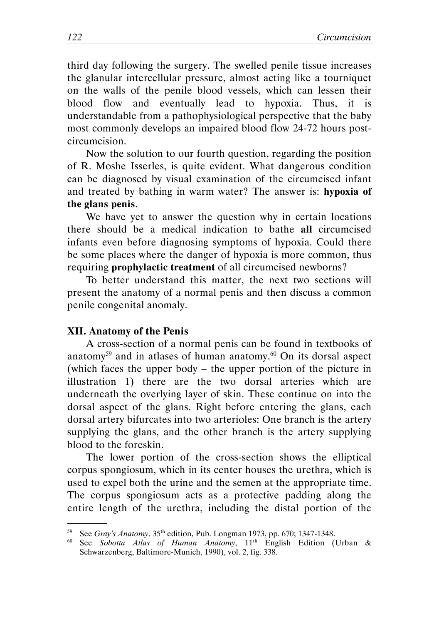third day following the surgery. The swelled penile tissue increases the glanular intercellular pressure, almost acting like a tourniquet on the walls of the penile blood vessels, which can lessen their blood flow and eventually lead to hypoxia. Thus, it is understandable from a pathophysiological perspective that the baby most commonly develops an impaired blood flow 24-72 hours postcircumcision.

Now the solution to our fourth question, regarding the position of R. Moshe Isserles, is quite evident. What dangerous condition can be diagnosed by visual examination of the circumcised infant and treated by bathing in warm water? The answer is: hypoxia of the glans penis.

We have yet to answer the question why in certain locations there should be a medical indication to bathe all circumcised infants even before diagnosing symptoms of hypoxia. Could there be some places where the danger of hypoxia is more common, thus requiring prophylactic treatment of all circumcised newborns?

To better understand this matter, the next two sections will present the anatomy of a normal penis and then discuss a common penile congenital anomaly.

#### XII. Anatomy of the Penis

.

A cross-section of a normal penis can be found in textbooks of anatomy<sup>59</sup> and in atlases of human anatomy.<sup>60</sup> On its dorsal aspect (which faces the upper body – the upper portion of the picture in illustration 1) there are the two dorsal arteries which are underneath the overlying layer of skin. These continue on into the dorsal aspect of the glans. Right before entering the glans, each dorsal artery bifurcates into two arterioles: One branch is the artery supplying the glans, and the other branch is the artery supplying blood to the foreskin.

The lower portion of the cross-section shows the elliptical corpus spongiosum, which in its center houses the urethra, which is used to expel both the urine and the semen at the appropriate time. The corpus spongiosum acts as a protective padding along the entire length of the urethra, including the distal portion of the

<sup>59</sup> See Gray's Anatomy, 35th edition, Pub. Longman 1973, pp. 670; 1347-1348.

<sup>&</sup>lt;sup>60</sup> See Sobotta Atlas of Human Anatomy, 11<sup>th</sup> English Edition (Urban & Schwarzenberg, Baltimore-Munich, 1990), vol. 2, fig. 338.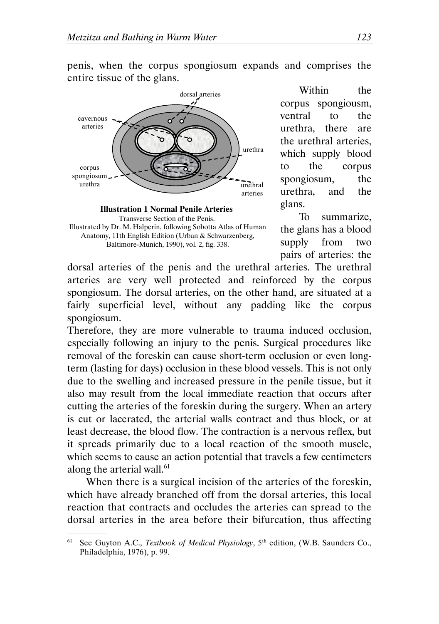penis, when the corpus spongiosum expands and comprises the entire tissue of the glans.



Transverse Section of the Penis. Illustrated by Dr. M. Halperin, following Sobotta Atlas of Human Anatomy, 11th English Edition (Urban & Schwarzenberg, Baltimore-Munich, 1990), vol. 2, fig. 338.

Within the corpus spongiousm, ventral to the urethra, there are the urethral arteries, which supply blood to the corpus spongiosum, the urethra, and the glans.

To summarize, the glans has a blood supply from two pairs of arteries: the

dorsal arteries of the penis and the urethral arteries. The urethral arteries are very well protected and reinforced by the corpus spongiosum. The dorsal arteries, on the other hand, are situated at a fairly superficial level, without any padding like the corpus spongiosum.

Therefore, they are more vulnerable to trauma induced occlusion, especially following an injury to the penis. Surgical procedures like removal of the foreskin can cause short-term occlusion or even longterm (lasting for days) occlusion in these blood vessels. This is not only due to the swelling and increased pressure in the penile tissue, but it also may result from the local immediate reaction that occurs after cutting the arteries of the foreskin during the surgery. When an artery is cut or lacerated, the arterial walls contract and thus block, or at least decrease, the blood flow. The contraction is a nervous reflex, but it spreads primarily due to a local reaction of the smooth muscle, which seems to cause an action potential that travels a few centimeters along the arterial wall.<sup>61</sup>

When there is a surgical incision of the arteries of the foreskin, which have already branched off from the dorsal arteries, this local reaction that contracts and occludes the arteries can spread to the dorsal arteries in the area before their bifurcation, thus affecting

 <sup>.</sup> <sup>61</sup> See Guyton A.C., *Textbook of Medical Physiology*,  $5<sup>th</sup>$  edition, (W.B. Saunders Co., Philadelphia, 1976), p. 99.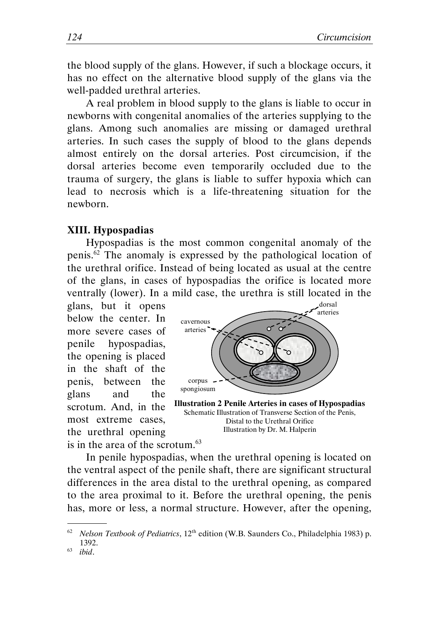the blood supply of the glans. However, if such a blockage occurs, it has no effect on the alternative blood supply of the glans via the well-padded urethral arteries.

A real problem in blood supply to the glans is liable to occur in newborns with congenital anomalies of the arteries supplying to the glans. Among such anomalies are missing or damaged urethral arteries. In such cases the supply of blood to the glans depends almost entirely on the dorsal arteries. Post circumcision, if the dorsal arteries become even temporarily occluded due to the trauma of surgery, the glans is liable to suffer hypoxia which can lead to necrosis which is a life-threatening situation for the newborn.

#### XIII. Hypospadias

Hypospadias is the most common congenital anomaly of the penis.<sup>62</sup> The anomaly is expressed by the pathological location of the urethral orifice. Instead of being located as usual at the centre of the glans, in cases of hypospadias the orifice is located more ventrally (lower). In a mild case, the urethra is still located in the

glans, but it opens below the center. In more severe cases of penile hypospadias, the opening is placed in the shaft of the penis, between the glans and the scrotum. And, in the most extreme cases, the urethral opening is in the area of the scrotum. $63$ 



Illustration 2 Penile Arteries in cases of Hypospadias Schematic Illustration of Transverse Section of the Penis, Distal to the Urethral Orifice Illustration by Dr. M. Halperin

In penile hypospadias, when the urethral opening is located on the ventral aspect of the penile shaft, there are significant structural differences in the area distal to the urethral opening, as compared to the area proximal to it. Before the urethral opening, the penis has, more or less, a normal structure. However, after the opening,

Nelson Textbook of Pediatrics, 12<sup>th</sup> edition (W.B. Saunders Co., Philadelphia 1983) p. 1392.

 $63$  ibid.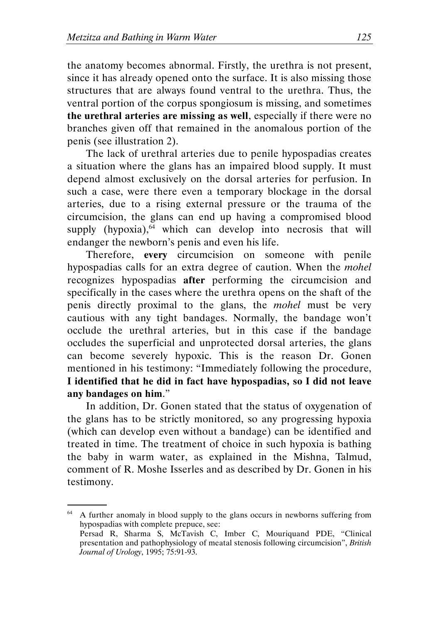the anatomy becomes abnormal. Firstly, the urethra is not present, since it has already opened onto the surface. It is also missing those structures that are always found ventral to the urethra. Thus, the ventral portion of the corpus spongiosum is missing, and sometimes the urethral arteries are missing as well, especially if there were no branches given off that remained in the anomalous portion of the penis (see illustration 2).

The lack of urethral arteries due to penile hypospadias creates a situation where the glans has an impaired blood supply. It must depend almost exclusively on the dorsal arteries for perfusion. In such a case, were there even a temporary blockage in the dorsal arteries, due to a rising external pressure or the trauma of the circumcision, the glans can end up having a compromised blood supply (hypoxia), $64$  which can develop into necrosis that will endanger the newborn's penis and even his life.

Therefore, every circumcision on someone with penile hypospadias calls for an extra degree of caution. When the mohel recognizes hypospadias after performing the circumcision and specifically in the cases where the urethra opens on the shaft of the penis directly proximal to the glans, the mohel must be very cautious with any tight bandages. Normally, the bandage won't occlude the urethral arteries, but in this case if the bandage occludes the superficial and unprotected dorsal arteries, the glans can become severely hypoxic. This is the reason Dr. Gonen mentioned in his testimony: "Immediately following the procedure, I identified that he did in fact have hypospadias, so I did not leave any bandages on him."

In addition, Dr. Gonen stated that the status of oxygenation of the glans has to be strictly monitored, so any progressing hypoxia (which can develop even without a bandage) can be identified and treated in time. The treatment of choice in such hypoxia is bathing the baby in warm water, as explained in the Mishna, Talmud, comment of R. Moshe Isserles and as described by Dr. Gonen in his testimony.

<sup>&</sup>lt;sup>64</sup> A further anomaly in blood supply to the glans occurs in newborns suffering from hypospadias with complete prepuce, see:

Persad R, Sharma S, McTavish C, Imber C, Mouriquand PDE, "Clinical presentation and pathophysiology of meatal stenosis following circumcision", British Journal of Urology, 1995; 75:91-93.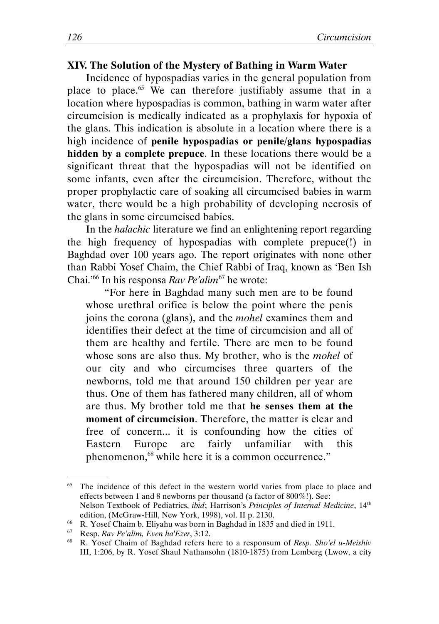#### XIV. The Solution of the Mystery of Bathing in Warm Water

Incidence of hypospadias varies in the general population from place to place.<sup>65</sup> We can therefore justifiably assume that in a location where hypospadias is common, bathing in warm water after circumcision is medically indicated as a prophylaxis for hypoxia of the glans. This indication is absolute in a location where there is a high incidence of penile hypospadias or penile/glans hypospadias hidden by a complete prepuce. In these locations there would be a significant threat that the hypospadias will not be identified on some infants, even after the circumcision. Therefore, without the proper prophylactic care of soaking all circumcised babies in warm water, there would be a high probability of developing necrosis of the glans in some circumcised babies.

In the *halachic* literature we find an enlightening report regarding the high frequency of hypospadias with complete prepuce(!) in Baghdad over 100 years ago. The report originates with none other than Rabbi Yosef Chaim, the Chief Rabbi of Iraq, known as 'Ben Ish Chai.'<sup>66</sup> In his responsa Rav Pe'alim<sup>67</sup> he wrote:

"For here in Baghdad many such men are to be found whose urethral orifice is below the point where the penis joins the corona (glans), and the mohel examines them and identifies their defect at the time of circumcision and all of them are healthy and fertile. There are men to be found whose sons are also thus. My brother, who is the *mohel* of our city and who circumcises three quarters of the newborns, told me that around 150 children per year are thus. One of them has fathered many children, all of whom are thus. My brother told me that he senses them at the moment of circumcision. Therefore, the matter is clear and free of concern... it is confounding how the cities of Eastern Europe are fairly unfamiliar with this phenomenon,<sup>68</sup> while here it is a common occurrence."

<sup>&</sup>lt;sup>65</sup> The incidence of this defect in the western world varies from place to place and effects between 1 and 8 newborns per thousand (a factor of 800%!). See: Nelson Textbook of Pediatrics, ibid; Harrison's Principles of Internal Medicine, 14th edition, (McGraw-Hill, New York, 1998), vol. II p. 2130.

<sup>&</sup>lt;sup>66</sup> R. Yosef Chaim b. Eliyahu was born in Baghdad in 1835 and died in 1911.

 $67$  Resp. Rav Pe'alim, Even ha'Ezer, 3:12.

 $68$  R. Yosef Chaim of Baghdad refers here to a responsum of Resp. Sho'el u-Meishiv III, 1:206, by R. Yosef Shaul Nathansohn (1810-1875) from Lemberg (Lwow, a city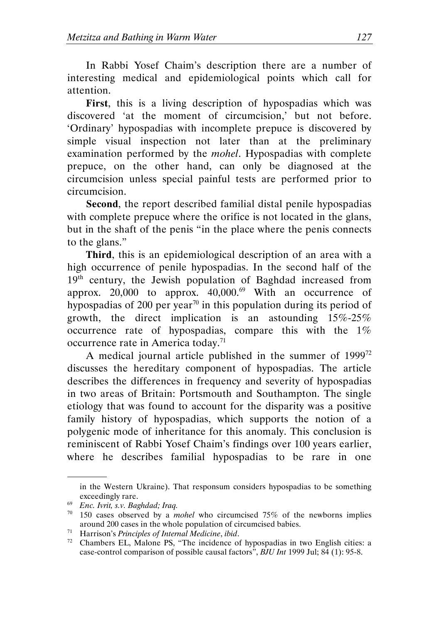In Rabbi Yosef Chaim's description there are a number of interesting medical and epidemiological points which call for attention.

First, this is a living description of hypospadias which was discovered 'at the moment of circumcision,' but not before. 'Ordinary' hypospadias with incomplete prepuce is discovered by simple visual inspection not later than at the preliminary examination performed by the mohel. Hypospadias with complete prepuce, on the other hand, can only be diagnosed at the circumcision unless special painful tests are performed prior to circumcision.

Second, the report described familial distal penile hypospadias with complete prepuce where the orifice is not located in the glans, but in the shaft of the penis "in the place where the penis connects to the glans."

Third, this is an epidemiological description of an area with a high occurrence of penile hypospadias. In the second half of the 19<sup>th</sup> century, the Jewish population of Baghdad increased from approx. 20,000 to approx.  $40,000.^{69}$  With an occurrence of hypospadias of 200 per year<sup>70</sup> in this population during its period of growth, the direct implication is an astounding  $15\% - 25\%$ occurrence rate of hypospadias, compare this with the  $1\%$ occurrence rate in America today.<sup>71</sup>

A medical journal article published in the summer of 1999<sup>72</sup> discusses the hereditary component of hypospadias. The article describes the differences in frequency and severity of hypospadias in two areas of Britain: Portsmouth and Southampton. The single etiology that was found to account for the disparity was a positive family history of hypospadias, which supports the notion of a polygenic mode of inheritance for this anomaly. This conclusion is reminiscent of Rabbi Yosef Chaim's findings over 100 years earlier, where he describes familial hypospadias to be rare in one

in the Western Ukraine). That responsum considers hypospadias to be something exceedingly rare.

<sup>69</sup> Enc. Ivrit, s.v. Baghdad; Iraq.

 $70$  150 cases observed by a *mohel* who circumcised 75% of the newborns implies around 200 cases in the whole population of circumcised babies.

around 200 cases in the  $m_{22}r_{1}$ <br>
Harrison's *Principles of Internal Medicine*, *ibid.* 

<sup>72</sup> Chambers EL, Malone PS, "The incidence of hypospadias in two English cities: a case-control comparison of possible causal factors", BJU Int 1999 Jul; 84 (1): 95-8.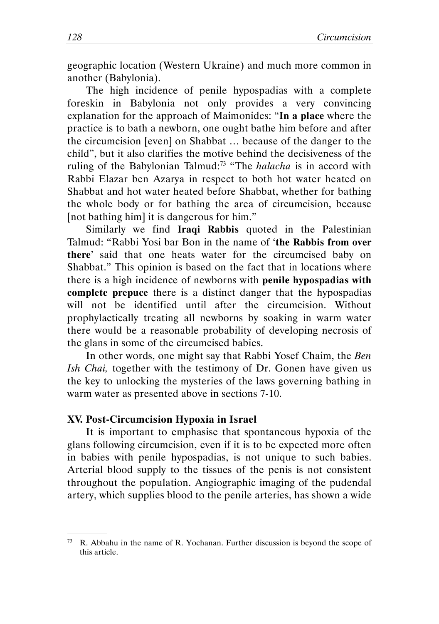geographic location (Western Ukraine) and much more common in another (Babylonia).

The high incidence of penile hypospadias with a complete foreskin in Babylonia not only provides a very convincing explanation for the approach of Maimonides: "In a place where the practice is to bath a newborn, one ought bathe him before and after the circumcision [even] on Shabbat … because of the danger to the child", but it also clarifies the motive behind the decisiveness of the ruling of the Babylonian Talmud:<sup>73</sup> "The *halacha* is in accord with Rabbi Elazar ben Azarya in respect to both hot water heated on Shabbat and hot water heated before Shabbat, whether for bathing the whole body or for bathing the area of circumcision, because [not bathing him] it is dangerous for him."

Similarly we find Iraqi Rabbis quoted in the Palestinian Talmud: "Rabbi Yosi bar Bon in the name of 'the Rabbis from over there' said that one heats water for the circumcised baby on Shabbat." This opinion is based on the fact that in locations where there is a high incidence of newborns with penile hypospadias with complete prepuce there is a distinct danger that the hypospadias will not be identified until after the circumcision. Without prophylactically treating all newborns by soaking in warm water there would be a reasonable probability of developing necrosis of the glans in some of the circumcised babies.

In other words, one might say that Rabbi Yosef Chaim, the Ben Ish Chai, together with the testimony of Dr. Gonen have given us the key to unlocking the mysteries of the laws governing bathing in warm water as presented above in sections 7-10.

#### XV. Post-Circumcision Hypoxia in Israel

.

It is important to emphasise that spontaneous hypoxia of the glans following circumcision, even if it is to be expected more often in babies with penile hypospadias, is not unique to such babies. Arterial blood supply to the tissues of the penis is not consistent throughout the population. Angiographic imaging of the pudendal artery, which supplies blood to the penile arteries, has shown a wide

<sup>73</sup> R. Abbahu in the name of R. Yochanan. Further discussion is beyond the scope of this article.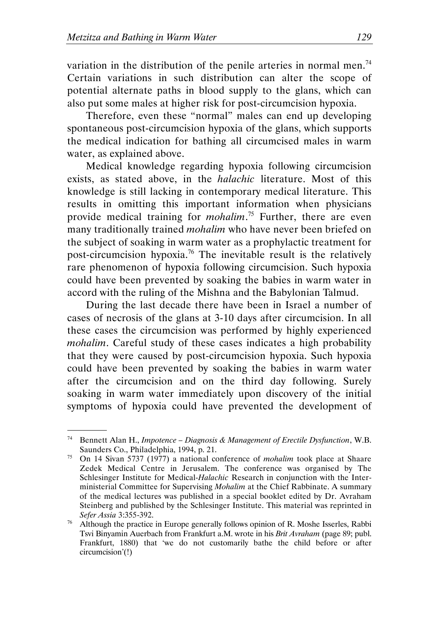.

variation in the distribution of the penile arteries in normal men.<sup>74</sup> Certain variations in such distribution can alter the scope of potential alternate paths in blood supply to the glans, which can also put some males at higher risk for post-circumcision hypoxia.

Therefore, even these "normal" males can end up developing spontaneous post-circumcision hypoxia of the glans, which supports the medical indication for bathing all circumcised males in warm water, as explained above.

Medical knowledge regarding hypoxia following circumcision exists, as stated above, in the halachic literature. Most of this knowledge is still lacking in contemporary medical literature. This results in omitting this important information when physicians provide medical training for *mohalim*.<sup>75</sup> Further, there are even many traditionally trained *mohalim* who have never been briefed on the subject of soaking in warm water as a prophylactic treatment for post-circumcision hypoxia.<sup>76</sup> The inevitable result is the relatively rare phenomenon of hypoxia following circumcision. Such hypoxia could have been prevented by soaking the babies in warm water in accord with the ruling of the Mishna and the Babylonian Talmud.

During the last decade there have been in Israel a number of cases of necrosis of the glans at 3-10 days after circumcision. In all these cases the circumcision was performed by highly experienced mohalim. Careful study of these cases indicates a high probability that they were caused by post-circumcision hypoxia. Such hypoxia could have been prevented by soaking the babies in warm water after the circumcision and on the third day following. Surely soaking in warm water immediately upon discovery of the initial symptoms of hypoxia could have prevented the development of

<sup>74</sup> Bennett Alan H., Impotence – Diagnosis & Management of Erectile Dysfunction, W.B. Saunders Co., Philadelphia, 1994, p. 21.

<sup>75</sup> On 14 Sivan 5737 (1977) a national conference of mohalim took place at Shaare Zedek Medical Centre in Jerusalem. The conference was organised by The Schlesinger Institute for Medical-Halachic Research in conjunction with the Interministerial Committee for Supervising Mohalim at the Chief Rabbinate. A summary of the medical lectures was published in a special booklet edited by Dr. Avraham Steinberg and published by the Schlesinger Institute. This material was reprinted in Sefer Assia 3:355-392.

 $76$  Although the practice in Europe generally follows opinion of R. Moshe Isserles, Rabbi Tsvi Binyamin Auerbach from Frankfurt a.M. wrote in his Brit Avraham (page 89; publ. Frankfurt, 1880) that 'we do not customarily bathe the child before or after circumcision'(!)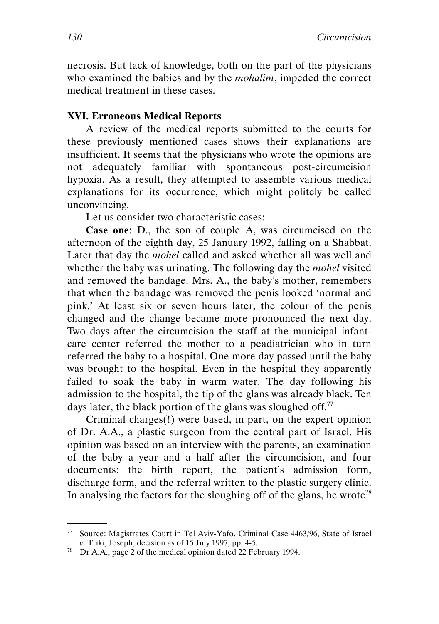necrosis. But lack of knowledge, both on the part of the physicians who examined the babies and by the *mohalim*, impeded the correct medical treatment in these cases.

#### XVI. Erroneous Medical Reports

A review of the medical reports submitted to the courts for these previously mentioned cases shows their explanations are insufficient. It seems that the physicians who wrote the opinions are not adequately familiar with spontaneous post-circumcision hypoxia. As a result, they attempted to assemble various medical explanations for its occurrence, which might politely be called unconvincing.

Let us consider two characteristic cases:

Case one: D., the son of couple A, was circumcised on the afternoon of the eighth day, 25 January 1992, falling on a Shabbat. Later that day the mohel called and asked whether all was well and whether the baby was urinating. The following day the *mohel* visited and removed the bandage. Mrs. A., the baby's mother, remembers that when the bandage was removed the penis looked 'normal and pink.' At least six or seven hours later, the colour of the penis changed and the change became more pronounced the next day. Two days after the circumcision the staff at the municipal infantcare center referred the mother to a peadiatrician who in turn referred the baby to a hospital. One more day passed until the baby was brought to the hospital. Even in the hospital they apparently failed to soak the baby in warm water. The day following his admission to the hospital, the tip of the glans was already black. Ten days later, the black portion of the glans was sloughed off. $^{77}$ 

Criminal charges(!) were based, in part, on the expert opinion of Dr. A.A., a plastic surgeon from the central part of Israel. His opinion was based on an interview with the parents, an examination of the baby a year and a half after the circumcision, and four documents: the birth report, the patient's admission form, discharge form, and the referral written to the plastic surgery clinic. In analysing the factors for the sloughing off of the glans, he wrote<sup>78</sup>

<sup>77</sup> Source: Magistrates Court in Tel Aviv-Yafo, Criminal Case 4463/96, State of Israel v. Triki, Joseph, decision as of 15 July 1997, pp. 4-5.

<sup>78</sup> Dr A.A., page 2 of the medical opinion dated 22 February 1994.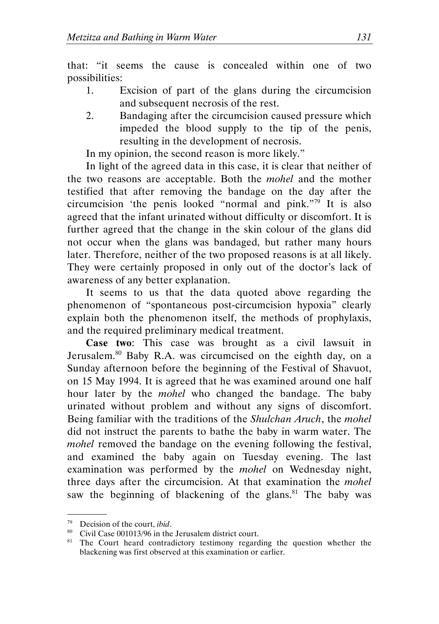that: "it seems the cause is concealed within one of two possibilities:

- 1. Excision of part of the glans during the circumcision and subsequent necrosis of the rest.
- 2. Bandaging after the circumcision caused pressure which impeded the blood supply to the tip of the penis, resulting in the development of necrosis.

In my opinion, the second reason is more likely."

In light of the agreed data in this case, it is clear that neither of the two reasons are acceptable. Both the mohel and the mother testified that after removing the bandage on the day after the circumcision 'the penis looked "normal and pink."<sup>79</sup> It is also agreed that the infant urinated without difficulty or discomfort. It is further agreed that the change in the skin colour of the glans did not occur when the glans was bandaged, but rather many hours later. Therefore, neither of the two proposed reasons is at all likely. They were certainly proposed in only out of the doctor's lack of awareness of any better explanation.

It seems to us that the data quoted above regarding the phenomenon of "spontaneous post-circumcision hypoxia" clearly explain both the phenomenon itself, the methods of prophylaxis, and the required preliminary medical treatment.

Case two: This case was brought as a civil lawsuit in Jerusalem.<sup>80</sup> Baby R.A. was circumcised on the eighth day, on a Sunday afternoon before the beginning of the Festival of Shavuot, on 15 May 1994. It is agreed that he was examined around one half hour later by the *mohel* who changed the bandage. The baby urinated without problem and without any signs of discomfort. Being familiar with the traditions of the *Shulchan Aruch*, the *mohel* did not instruct the parents to bathe the baby in warm water. The mohel removed the bandage on the evening following the festival, and examined the baby again on Tuesday evening. The last examination was performed by the mohel on Wednesday night, three days after the circumcision. At that examination the mohel saw the beginning of blackening of the glans. $81$  The baby was

 $79$  Decision of the court, *ibid*.

<sup>80</sup> Civil Case 001013/96 in the Jerusalem district court.

<sup>&</sup>lt;sup>81</sup> The Court heard contradictory testimony regarding the question whether the blackening was first observed at this examination or earlier.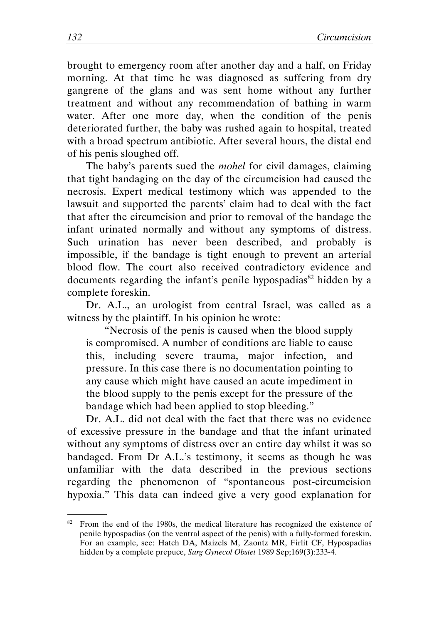brought to emergency room after another day and a half, on Friday morning. At that time he was diagnosed as suffering from dry gangrene of the glans and was sent home without any further treatment and without any recommendation of bathing in warm water. After one more day, when the condition of the penis deteriorated further, the baby was rushed again to hospital, treated with a broad spectrum antibiotic. After several hours, the distal end of his penis sloughed off.

The baby's parents sued the *mohel* for civil damages, claiming that tight bandaging on the day of the circumcision had caused the necrosis. Expert medical testimony which was appended to the lawsuit and supported the parents' claim had to deal with the fact that after the circumcision and prior to removal of the bandage the infant urinated normally and without any symptoms of distress. Such urination has never been described, and probably is impossible, if the bandage is tight enough to prevent an arterial blood flow. The court also received contradictory evidence and documents regarding the infant's penile hypospadias<sup>82</sup> hidden by a complete foreskin.

Dr. A.L., an urologist from central Israel, was called as a witness by the plaintiff. In his opinion he wrote:

"Necrosis of the penis is caused when the blood supply is compromised. A number of conditions are liable to cause this, including severe trauma, major infection, and pressure. In this case there is no documentation pointing to any cause which might have caused an acute impediment in the blood supply to the penis except for the pressure of the bandage which had been applied to stop bleeding."

Dr. A.L. did not deal with the fact that there was no evidence of excessive pressure in the bandage and that the infant urinated without any symptoms of distress over an entire day whilst it was so bandaged. From Dr A.L.'s testimony, it seems as though he was unfamiliar with the data described in the previous sections regarding the phenomenon of "spontaneous post-circumcision hypoxia." This data can indeed give a very good explanation for

 $82$  From the end of the 1980s, the medical literature has recognized the existence of penile hypospadias (on the ventral aspect of the penis) with a fully-formed foreskin. For an example, see: Hatch DA, Maizels M, Zaontz MR, Firlit CF, Hypospadias hidden by a complete prepuce, *Surg Gynecol Obstet* 1989 Sep;169(3):233-4.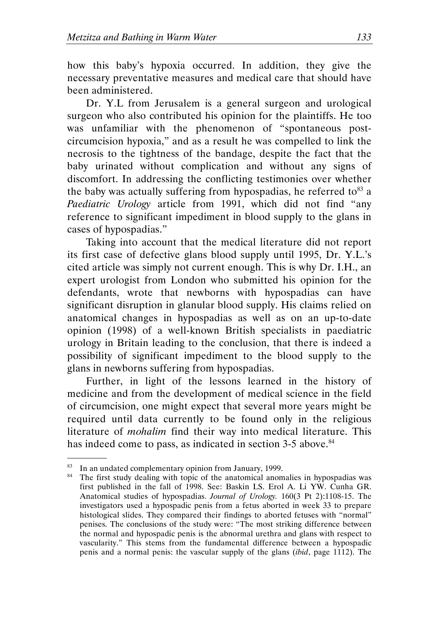how this baby's hypoxia occurred. In addition, they give the necessary preventative measures and medical care that should have been administered.

Dr. Y.L from Jerusalem is a general surgeon and urological surgeon who also contributed his opinion for the plaintiffs. He too was unfamiliar with the phenomenon of "spontaneous postcircumcision hypoxia," and as a result he was compelled to link the necrosis to the tightness of the bandage, despite the fact that the baby urinated without complication and without any signs of discomfort. In addressing the conflicting testimonies over whether the baby was actually suffering from hypospadias, he referred to  $83$  a Paediatric Urology article from 1991, which did not find "any reference to significant impediment in blood supply to the glans in cases of hypospadias."

Taking into account that the medical literature did not report its first case of defective glans blood supply until 1995, Dr. Y.L.'s cited article was simply not current enough. This is why Dr. I.H., an expert urologist from London who submitted his opinion for the defendants, wrote that newborns with hypospadias can have significant disruption in glanular blood supply. His claims relied on anatomical changes in hypospadias as well as on an up-to-date opinion (1998) of a well-known British specialists in paediatric urology in Britain leading to the conclusion, that there is indeed a possibility of significant impediment to the blood supply to the glans in newborns suffering from hypospadias.

Further, in light of the lessons learned in the history of medicine and from the development of medical science in the field of circumcision, one might expect that several more years might be required until data currently to be found only in the religious literature of mohalim find their way into medical literature. This has indeed come to pass, as indicated in section 3-5 above.<sup>84</sup>

<sup>83</sup> In an undated complementary opinion from January, 1999.

<sup>&</sup>lt;sup>84</sup> The first study dealing with topic of the anatomical anomalies in hypospadias was first published in the fall of 1998. See: Baskin LS. Erol A. Li YW. Cunha GR. Anatomical studies of hypospadias. Journal of Urology. 160(3 Pt 2):1108-15. The investigators used a hypospadic penis from a fetus aborted in week 33 to prepare histological slides. They compared their findings to aborted fetuses with "normal" penises. The conclusions of the study were: "The most striking difference between the normal and hypospadic penis is the abnormal urethra and glans with respect to vascularity." This stems from the fundamental difference between a hypospadic penis and a normal penis: the vascular supply of the glans (ibid, page 1112). The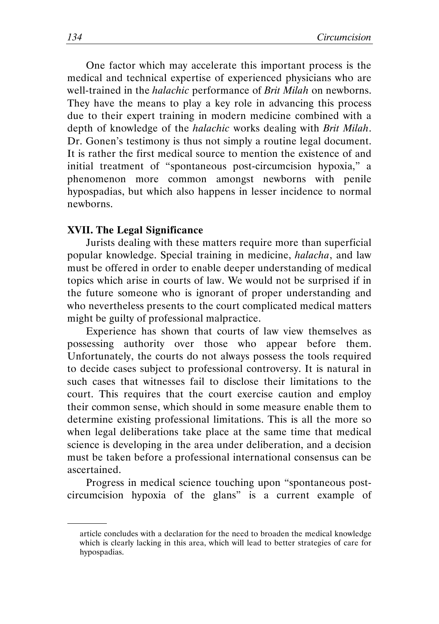One factor which may accelerate this important process is the medical and technical expertise of experienced physicians who are well-trained in the *halachic* performance of *Brit Milah* on newborns. They have the means to play a key role in advancing this process due to their expert training in modern medicine combined with a depth of knowledge of the *halachic* works dealing with *Brit Milah*. Dr. Gonen's testimony is thus not simply a routine legal document. It is rather the first medical source to mention the existence of and initial treatment of "spontaneous post-circumcision hypoxia," a phenomenon more common amongst newborns with penile hypospadias, but which also happens in lesser incidence to normal newborns.

#### XVII. The Legal Significance

.

Jurists dealing with these matters require more than superficial popular knowledge. Special training in medicine, halacha, and law must be offered in order to enable deeper understanding of medical topics which arise in courts of law. We would not be surprised if in the future someone who is ignorant of proper understanding and who nevertheless presents to the court complicated medical matters might be guilty of professional malpractice.

Experience has shown that courts of law view themselves as possessing authority over those who appear before them. Unfortunately, the courts do not always possess the tools required to decide cases subject to professional controversy. It is natural in such cases that witnesses fail to disclose their limitations to the court. This requires that the court exercise caution and employ their common sense, which should in some measure enable them to determine existing professional limitations. This is all the more so when legal deliberations take place at the same time that medical science is developing in the area under deliberation, and a decision must be taken before a professional international consensus can be ascertained.

Progress in medical science touching upon "spontaneous postcircumcision hypoxia of the glans" is a current example of

article concludes with a declaration for the need to broaden the medical knowledge which is clearly lacking in this area, which will lead to better strategies of care for hypospadias.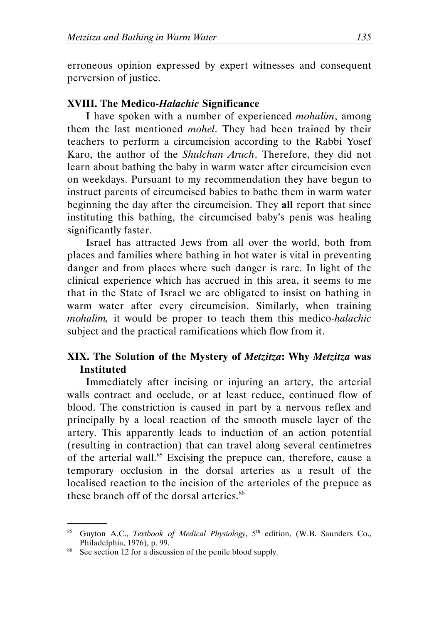erroneous opinion expressed by expert witnesses and consequent perversion of justice.

#### XVIII. The Medico-Halachic Significance

I have spoken with a number of experienced mohalim, among them the last mentioned *mohel*. They had been trained by their teachers to perform a circumcision according to the Rabbi Yosef Karo, the author of the Shulchan Aruch. Therefore, they did not learn about bathing the baby in warm water after circumcision even on weekdays. Pursuant to my recommendation they have begun to instruct parents of circumcised babies to bathe them in warm water beginning the day after the circumcision. They all report that since instituting this bathing, the circumcised baby's penis was healing significantly faster.

Israel has attracted Jews from all over the world, both from places and families where bathing in hot water is vital in preventing danger and from places where such danger is rare. In light of the clinical experience which has accrued in this area, it seems to me that in the State of Israel we are obligated to insist on bathing in warm water after every circumcision. Similarly, when training mohalim, it would be proper to teach them this medico-halachic subject and the practical ramifications which flow from it.

#### XIX. The Solution of the Mystery of Metzitza: Why Metzitza was Instituted

Immediately after incising or injuring an artery, the arterial walls contract and occlude, or at least reduce, continued flow of blood. The constriction is caused in part by a nervous reflex and principally by a local reaction of the smooth muscle layer of the artery. This apparently leads to induction of an action potential (resulting in contraction) that can travel along several centimetres of the arterial wall.<sup>85</sup> Excising the prepuce can, therefore, cause a temporary occlusion in the dorsal arteries as a result of the localised reaction to the incision of the arterioles of the prepuce as these branch off of the dorsal arteries.<sup>86</sup>

 <sup>.</sup> 85 Guyton A.C., Textbook of Medical Physiology, 5<sup>th</sup> edition, (W.B. Saunders Co., Philadelphia, 1976), p. 99.

<sup>&</sup>lt;sup>86</sup> See section 12 for a discussion of the penile blood supply.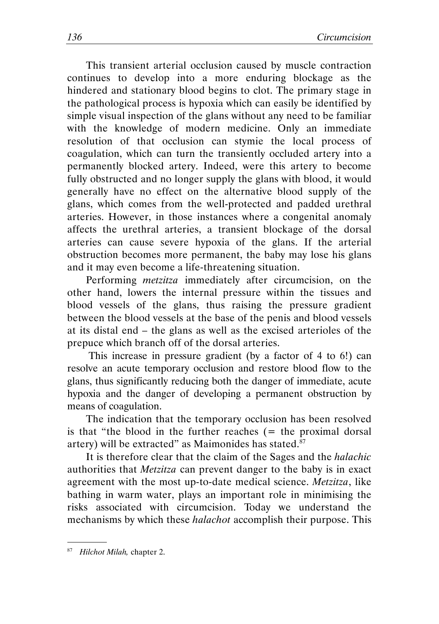This transient arterial occlusion caused by muscle contraction continues to develop into a more enduring blockage as the hindered and stationary blood begins to clot. The primary stage in the pathological process is hypoxia which can easily be identified by simple visual inspection of the glans without any need to be familiar with the knowledge of modern medicine. Only an immediate resolution of that occlusion can stymie the local process of coagulation, which can turn the transiently occluded artery into a permanently blocked artery. Indeed, were this artery to become fully obstructed and no longer supply the glans with blood, it would generally have no effect on the alternative blood supply of the glans, which comes from the well-protected and padded urethral arteries. However, in those instances where a congenital anomaly affects the urethral arteries, a transient blockage of the dorsal arteries can cause severe hypoxia of the glans. If the arterial obstruction becomes more permanent, the baby may lose his glans and it may even become a life-threatening situation.

Performing metzitza immediately after circumcision, on the other hand, lowers the internal pressure within the tissues and blood vessels of the glans, thus raising the pressure gradient between the blood vessels at the base of the penis and blood vessels at its distal end – the glans as well as the excised arterioles of the prepuce which branch off of the dorsal arteries.

 This increase in pressure gradient (by a factor of 4 to 6!) can resolve an acute temporary occlusion and restore blood flow to the glans, thus significantly reducing both the danger of immediate, acute hypoxia and the danger of developing a permanent obstruction by means of coagulation.

The indication that the temporary occlusion has been resolved is that "the blood in the further reaches  $($  = the proximal dorsal artery) will be extracted" as Maimonides has stated.<sup>87</sup>

It is therefore clear that the claim of the Sages and the halachic authorities that Metzitza can prevent danger to the baby is in exact agreement with the most up-to-date medical science. Metzitza, like bathing in warm water, plays an important role in minimising the risks associated with circumcision. Today we understand the mechanisms by which these halachot accomplish their purpose. This

 <sup>.</sup> <sup>87</sup> Hilchot Milah, chapter 2.